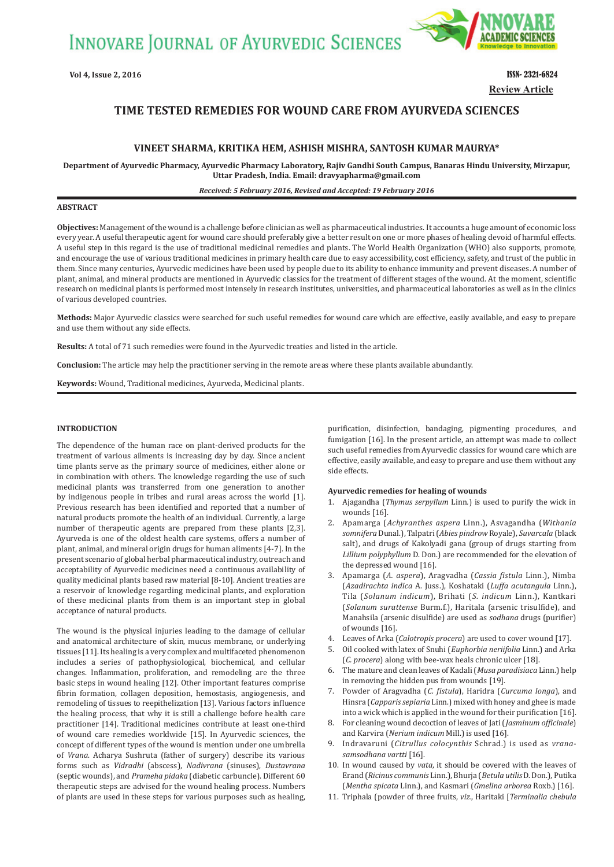**INNOVARE JOURNAL OF AYURVEDIC SCIENCES** 



**Review Article**

# **TIME TESTED REMEDIES FOR WOUND CARE FROM AYURVEDA SCIENCES**

## **VINEET SHARMA, KRITIKA HEM, ASHISH MISHRA, SANTOSH KUMAR MAURYA\***

**Department of Ayurvedic Pharmacy, Ayurvedic Pharmacy Laboratory, Rajiv Gandhi South Campus, Banaras Hindu University, Mirzapur, Uttar Pradesh, India. Email: dravyapharma@gmail.com**

## *Received: 5 February 2016, Revised and Accepted: 19 February 2016*

#### **ABSTRACT**

**Objectives:** Management of the wound is a challenge before clinician as well as pharmaceutical industries. It accounts a huge amount of economic loss every year. A useful therapeutic agent for wound care should preferably give a better result on one or more phases of healing devoid of harmful effects. A useful step in this regard is the use of traditional medicinal remedies and plants. The World Health Organization (WHO) also supports, promote, and encourage the use of various traditional medicines in primary health care due to easy accessibility, cost efficiency, safety, and trust of the public in them. Since many centuries, Ayurvedic medicines have been used by people due to its ability to enhance immunity and prevent diseases. A number of plant, animal, and mineral products are mentioned in Ayurvedic classics for the treatment of different stages of the wound. At the moment, scientific research on medicinal plants is performed most intensely in research institutes, universities, and pharmaceutical laboratories as well as in the clinics of various developed countries.

**Methods:** Major Ayurvedic classics were searched for such useful remedies for wound care which are effective, easily available, and easy to prepare and use them without any side effects.

**Results:** A total of 71 such remedies were found in the Ayurvedic treaties and listed in the article.

**Conclusion:** The article may help the practitioner serving in the remote areas where these plants available abundantly.

**Keywords:** Wound, Traditional medicines, Ayurveda, Medicinal plants.

## **INTRODUCTION**

 The dependence of the human race on plant-derived products for the treatment of various ailments is increasing day by day. Since ancient time plants serve as the primary source of medicines, either alone or in combination with others. The knowledge regarding the use of such medicinal plants was transferred from one generation to another by indigenous people in tribes and rural areas across the world [1]. Previous research has been identified and reported that a number of natural products promote the health of an individual. Currently, a large number of therapeutic agents are prepared from these plants [2,3]. Ayurveda is one of the oldest health care systems, offers a number of plant, animal, and mineral origin drugs for human aliments [4-7]. In the present scenario of global herbal pharmaceutical industry, outreach and acceptability of Ayurvedic medicines need a continuous availability of quality medicinal plants based raw material [8-10]. Ancient treaties are a reservoir of knowledge regarding medicinal plants, and exploration of these medicinal plants from them is an important step in global acceptance of natural products.

The wound is the physical injuries leading to the damage of cellular and anatomical architecture of skin, mucus membrane, or underlying tissues [11]. Its healing is a very complex and multifaceted phenomenon includes a series of pathophysiological, biochemical, and cellular changes. Inflammation, proliferation, and remodeling are the three basic steps in wound healing [12]. Other important features comprise fibrin formation, collagen deposition, hemostasis, angiogenesis, and remodeling of tissues to reepithelization [13]. Various factors influence the healing process, that why it is still a challenge before health care practitioner [14]. Traditional medicines contribute at least one-third of wound care remedies worldwide [15]. In Ayurvedic sciences, the concept of different types of the wound is mention under one umbrella of *Vrana*. Acharya Sushruta (father of surgery) describe its various forms such as *Vidradhi* (abscess), *Nadivrana* (sinuses), *Dustavrana* (septic wounds), and *Prameha pidaka* (diabetic carbuncle). Different 60 therapeutic steps are advised for the wound healing process. Numbers of plants are used in these steps for various purposes such as healing, purification, disinfection, bandaging, pigmenting procedures, and fumigation [16]. In the present article, an attempt was made to collect such useful remedies from Ayurvedic classics for wound care which are effective, easily available, and easy to prepare and use them without any side effects.

### **Ayurvedic remedies for healing of wounds**

- 1. Ajagandha (*Thymus serpyllum* Linn*.*) is used to purify the wick in wounds [16].
- 2. Apamarga (*Achyranthes aspera* Linn.), Asvagandha (*Withania somnifera* Dunal.), Talpatri (*Abies pindrow* Royale), *Suvarcala* (black salt), and drugs of Kakolyadi gana (group of drugs starting from *Lillium polyphyllum* D. Don.) are recommended for the elevation of the depressed wound [16].
- 3. Apamarga (A. aspera), Aragvadha (Cassia fistula Linn.), Nimba (*Azadirachta indica* A. Juss.), Koshataki (*Luffa acutangula* Linn.), Tila (*Solanum indicum*), Brihati (*S. indicum* Linn.), Kantkari (*Solanum surattense* Burm.f.), Haritala (arsenic trisulfide), and Manahsila (arsenic disulfide) are used as *sodhana* drugs (purifier) of wounds [16].
- 4. Leaves of Arka (*Calotropis procera*) are used to cover wound [17].
- 5. Oil cooked with latex of Snuhi (*Euphorbia neriifolia* Linn.) and Arka (*C. procera*) along with bee-wax heals chronic ulcer [18].
- 6. The mature and clean leaves of Kadali (*Musa paradisiaca* Linn.) help in removing the hidden pus from wounds [19].
- 7. Powder of Aragvadha (*C. ϔistula*), Haridra (*Curcuma longa*), and Hinsra (*Capparis sepiaria* Linn.) mixed with honey and ghee is made into a wick which is applied in the wound for their purification [16].
- 8. For cleaning wound decoction of leaves of Jati (*Jasminum ofϔicinale*) and Karvira (*Nerium indicum* Mill.) is used [16].
- 9. Indravaruni (*Citrullus colocynthis* Schrad.) is used as *vranasamsodhana vartti* [16].
- 10. In wound caused by *vata*, it should be covered with the leaves of Erand (*Ricinus communis* Linn.), Bhurja (*Betula utilis* D. Don.), Putika (*Mentha spicata* Linn.), and Kasmari (*Gmelina arborea* Roxb.) [16].
- 11. Triphala (powder of three fruits, *viz*., Haritaki [*Terminalia chebula*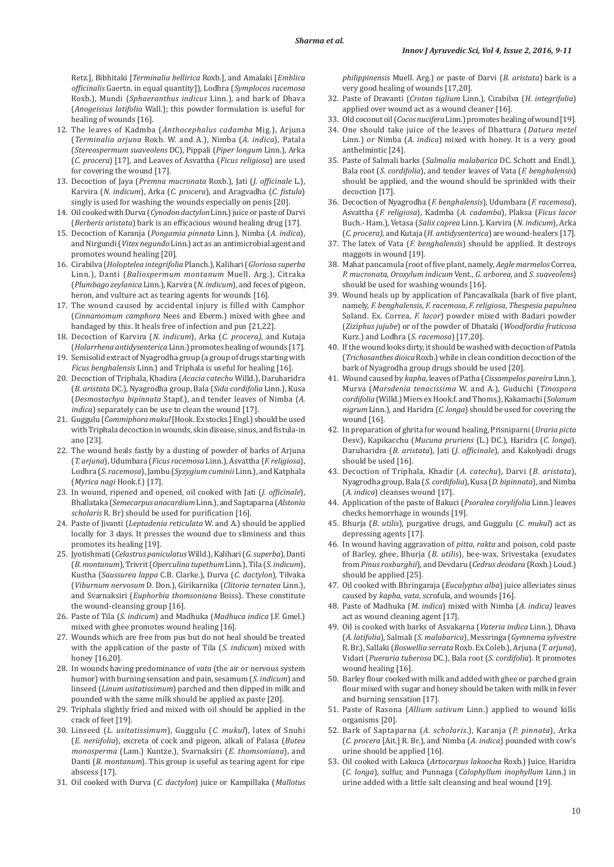Retz.], Bibhitaki [*Terminalia bellirica* Roxb.], and Amalaki [*Emblica ofϔicinalis* Gaertn. in equal quantity]), Lodhra (*Symplocos racemosa* Roxb.), Mundi (*Sphaeranthus indicus* Linn.), and bark of Dhava (*Anogeissus latifolia* Wall.); this powder formulation is useful for healing of wounds [16].

- 12. The leaves of Kadmba (*Anthocephalus cadamba* Mig.), Arjuna (*Terminalia arjuna* Roxb. W. and A.), Nimba (*A. indica*), Patala (*Stereospermum suaveolens* DC), Pippali (*Piper longum* Linn.), Arka (*C. procera*) [17], and Leaves of Asvattha (*Ficus religiosa*) are used for covering the wound [17].
- 13. Decoction of Jaya (*Premna mucronata* Roxb.), Jati (*J. ofϔicinale* L.), Karvira (N. indicum), Arka (C. procera), and Aragvadha (C. fistula) singly is used for washing the wounds especially on penis [20].
- 14. Oil cooked with Durva (*Cynodon dactylon* Linn.) juice or paste of Darvi (*Berberis aristata*) bark is an efficacious wound healing drug [17].
- 15. Decoction of Karanja (*Pongamia pinnata* Linn.), Nimba (*A. indica*), and Nirgundi (*Vitex negundo* Linn.) act as an antimicrobial agent and promotes wound healing [20].
- 16. Cirabilva (*Holoptelea integrifolia* Planch.), Kalihari (*Gloriosa superba* Linn.), Danti (*Baliospermum montanum* Muell. Arg.), Citraka (*Plumbago zeylanica* Linn.), Karvira (*N. indicum*), and feces of pigeon, heron, and vulture act as tearing agents for wounds [16].
- 17. The wound caused by accidental injury is filled with Camphor (*Cinnamomum camphora* Nees and Eberm.) mixed with ghee and bandaged by this. It heals free of infection and pus [21,22].
- 18. Decoction of Karvira (*N. indicum*), Arka (*C. procera),* and Kutaja (*Holarrhena antidysenterica* Linn.) promotes healing of wounds [17].
- 19. Semisolid extract of Nyagrodha group (a group of drugs starting with *Ficus benghalensis* Linn.) and Triphala is useful for healing [16].
- 20. Decoction of Triphala, Khadira (*Acacia catechu* Willd.), Daruharidra (*B. aristata* DC.), Nyagrodha group, Bala (*Sida cordifolia* Linn.), Kusa (*Desmostachya bipinnata* Stapf.), and tender leaves of Nimba (*A. indica*) separately can be use to clean the wound [17].
- 21. Guggulu (*Commiphora mukul* [Hook. Ex stocks.] Engl.) should be used with Triphala decoction in wounds, skin disease, sinus, and fistula-in ano [23].
- 22. The wound heals fastly by a dusting of powder of barks of Arjuna (*T. arjuna*), Udumbara (*Ficus racemosa* Linn.), Asvattha (*F. religiosa*), Lodhra (*S. racemosa*), Jambu (*Syzygium cuminii* Linn.), and Katphala (*Myrica nagi* Hook.f.) [17].
- 23. In wound, ripened and opened, oil cooked with Jati (*J. ofϔicinale*), Bhallataka (*Semecarpus anacardium* Linn.), and Saptaparna (*Alstonia scholaris* R. Br) should be used for purification [16].
- 24. Paste of Jivanti (*Leptadenia reticulata* W. and A.) should be applied locally for 3 days. It presses the wound due to sliminess and thus promotes its healing [19].
- 25. Jyotishmati (*Celastrus paniculatus* Willd.), Kalihari (*G. superba*), Danti (*B. montanum*), Trivrit (*Operculina tupethum* Linn.), Tila (*S. indicum*), Kustha (*Saussurea lappa* C.B. Clarke.), Durva (*C. dactylon*), Tilvaka (*Viburnum nervosum* D. Don.), Girikarnika (*Clitoria ternatea* Linn.), and Svarnaksiri (*Euphorbia thomsoniana* Boiss). These constitute the wound-cleansing group [16].
- 26. Paste of Tila (*S. indicum*) and Madhuka (*Madhuca indica* J.F. Gmel.) mixed with ghee promotes wound healing [16].
- 27. Wounds which are free from pus but do not heal should be treated with the application of the paste of Tila (*S. indicum*) mixed with honey [16,20].
- 28. In wounds having predominance of *vata* (the air or nervous system humor) with burning sensation and pain, sesamum (*S. indicum*) and linseed (*Linum usitatissimum*) parched and then dipped in milk and pounded with the same milk should be applied as paste [20].
- 29. Triphala slightly fried and mixed with oil should be applied in the crack of feet [19].
- 30. Linseed (*L. usitatissimum*), Guggulu (*C. mukul*), latex of Snuhi (*E. neriifolia*), excreta of cock and pigeon, alkali of Palasa (*Butea monosperma* (Lam.) Kuntze.), Svarnaksiri (*E. thomsoniana*), and Danti (*B. montanum*). This group is useful as tearing agent for ripe abscess [17].
- 31. Oil cooked with Durva (*C. dactylon*) juice or Kampillaka (*Mallotus*

*philippinensis* Muell. Arg.) or paste of Darvi (*B. aristata*) bark is a very good healing of wounds [17,20].

- 32. Paste of Dravanti (*Croton tiglium* Linn.), Cirabilva (*H. integrifolia*) applied over wound act as a wound cleaner [16].
- 33. Old coconut oil (*Cocos nucifera* Linn.) promotes healing of wound [19].
- 34. One should take juice of the leaves of Dhattura (*Datura metel* Linn.) or Nimba (*A. indica*) mixed with honey. It is a very good anthelmintic [24].
- 35. Paste of Salmali barks (*Salmalia malabarica* DC. Schott and Endl.), Bala root (*S. cordifolia*), and tender leaves of Vata (*F. benghalensis*) should be applied, and the wound should be sprinkled with their decoction [17].
- 36. Decoction of Nyagrodha (*F. benghalensis*), Udumbara (*F. racemosa*), Asvattha (*F. religiosa*), Kadmba (*A. cadamba*), Plaksa (*Ficus lacor* Buch.- Ham.), Vetasa (*Salix caprea* Linn.), Karvira (*N. indicum*), Arka (*C. procera),* and Kutaja (*H. antidysenterica*) are wound-healers [17].
- 37. The latex of Vata (*F. benghalensis*) should be applied. It destroys maggots in wound [19].
- 38. Mahat pancamula (root of five plant, namely, *Aegle marmelos* Correa, *P. mucronata*, *Oroxylum indicum* Vent., *G. arborea*, and *S. suaveolens*) should be used for washing wounds [16].
- 39. Wound heals up by application of Pancavalkala (bark of five plant, namely, *F. benghalensis*, *F. racemosa*, *F. religiosa*, *Thespesia papulnea* Soland. Ex. Correa, *F. lacor*) powder mixed with Badari powder (*Ziziphus jujube*) or of the powder of Dhataki (*Woodfordia fruticosa* Kurz.) and Lodhra (*S. racemosa*) [17,20].
- 40. If the wound looks dirty, it should be washed with decoction of Patola (*Trichosanthes dioica* Roxb.) while in clean condition decoction of the bark of Nyagrodha group drugs should be used [20].
- 41. Wound caused by *kapha*, leaves of Patha (*Cissampelos pareira* Linn.)*,*  Murva (*Marsdenia tenacissima* W. and A.), Guduchi (*Tinospora cordifolia* (Willd.) Miers ex Hook.f. and Thoms.), Kakamachi (*Solanum nigrum* Linn.), and Haridra (*C. longa*) should be used for covering the wound [16].
- 42. In preparation of ghrita for wound healing, Prisniparni (*Uraria picta* Desv.), Kapikacchu (*Mucuna pruriens* (L.) DC.), Haridra (*C. longa*), Daruharidra (*B. aristata*), Jati (*J. ofϔicinale*), and Kakolyadi drugs should be used [16].
- 43. Decoction of Triphala, Khadir (*A. catechu*), Darvi (*B. aristata*), Nyagrodha group, Bala (*S. cordifolia*), Kusa (*D. bipinnata*), and Nimba (*A. indica*) cleanses wound [17].
- 44. Application of the paste of Bakuci (*Psoralea corylifolia* Linn.) leaves checks hemorrhage in wounds [19].
- 45. Bhurja (*B. utilis*), purgative drugs, and Guggulu (*C. mukul*) act as depressing agents [17].
- 46. In wound having aggravation of *pitta*, *rakta* and poison, cold paste of Barley, ghee, Bhurja (*B. utilis*), bee-wax, Srivestaka (exudates from *Pinus roxburghii*), and Devdaru (*Cedrus deodara* (Roxb.) Loud.) should be applied [25].
- 47. Oil cooked with Bhringaraja (*Eucalyptus alba*) juice alleviates sinus caused by *kapha*, *vata*, scrofula, and wounds [16].
- 48. Paste of Madhuka (*M. indica*) mixed with Nimba (*A. indica)* leaves act as wound cleaning agent [17].
- 49. Oil is cooked with barks of Asvakarna (*Vateria indica* Linn.), Dhava (*A. latifolia*), Salmali (*S. malabarica*), Messringa (*Gymnema sylvestre* R. Br.), Sallaki (*Boswellia serrata* Roxb. Ex Coleb.), Arjuna (*T. arjuna*), Vidari (*Pueraria tuberosa* DC.), Bala root (*S. cordifolia*). It promotes wound healing [16].
- 50. Barley flour cooked with milk and added with ghee or parched grain flour mixed with sugar and honey should be taken with milk in fever and burning sensation [17].
- 51. Paste of Rasona (*Allium sativum* Linn.) applied to wound kills organisms [20].
- 52. Bark of Saptaparna (*A. scholaris*.), Karanja (*P. pinnata*), Arka (*C. procera* [Ait.] R. Br.), and Nimba (*A. indica*) pounded with cow's urine should be applied [16].
- 53. Oil cooked with Lakuca (*Artocarpus lakoocha* Roxb.) Juice, Haridra (*C. longa*), sulfur, and Punnaga (*Calophyllum inophyllum* Linn.) in urine added with a little salt cleansing and heal wound [19].